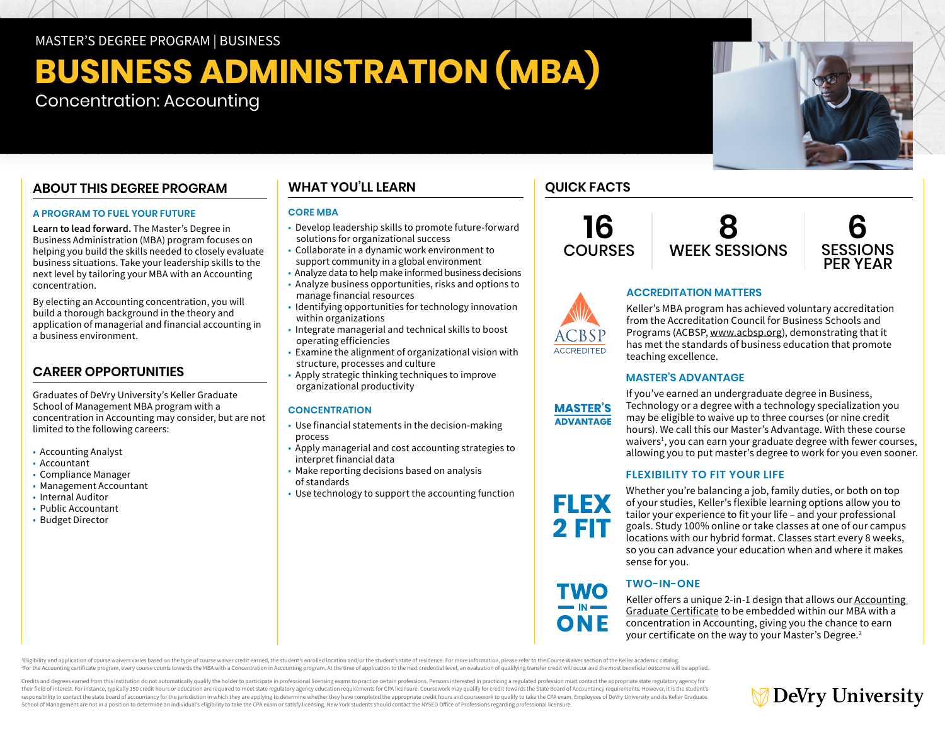#### MASTER'S DEGREE PROGRAM | BUSINESS

## **BUSINESS ADMINISTRATION (MBA)**

## Concentration: Accounting

## **ABOUT THIS DEGREE PROGRAM**

#### **A PROGRAM TO FUEL YOUR FUTURE**

**Learn to lead forward.** The Master's Degree in Business Administration (MBA) program focuses on helping you build the skills needed to closely evaluate business situations. Take your leadership skills to the next level by tailoring your MBA with an Accounting concentration.

By electing an Accounting concentration, you will build a thorough background in the theory and application of managerial and financial accounting in a business environment.

## **CAREER OPPORTUNITIES**

Graduates of DeVry University's Keller Graduate School of Management MBA program with a concentration in Accounting may consider, but are not limited to the following careers:

- Accounting Analyst
- Accountant
- Compliance Manager
- Management Accountant
- Internal Auditor
- Public Accountant
- Budget Director

## **WHAT YOU'LL LEARN**

#### **CORE MBA**

- Develop leadership skills to promote future-forward solutions for organizational success
- Collaborate in a dynamic work environment to support community in a global environment
- Analyze data to help make informed business decisions
- Analyze business opportunities, risks and options to manage financial resources
- Identifying opportunities for technology innovation within organizations
- Integrate managerial and technical skills to boost operating efficiencies
- Examine the alignment of organizational vision with structure, processes and culture
- Apply strategic thinking techniques to improve organizational productivity

#### **CONCENTRATION**

- Use financial statements in the decision-making process
- Apply managerial and cost accounting strategies to interpret financial data
- Make reporting decisions based on analysis of standards
- Use technology to support the accounting function

## **QUICK FACTS**

**16 COURSES** 



**ACCREDITATION MATTERS**



# **ACCREDITED**

Keller's MBA program has achieved voluntary accreditation from the Accreditation Council for Business Schools and Programs (ACBSP, [www.acbsp.org](https://www.acbsp.org)), demonstrating that it has met the standards of business education that promote teaching excellence.

#### **MASTER'S ADVANTAGE**



**FLEX** 2 FIT

If you've earned an undergraduate degree in Business, Technology or a degree with a technology specialization you may be eligible to waive up to three courses (or nine credit hours). We call this our Master's Advantage. With these course waivers<sup>1</sup>, you can earn your graduate degree with fewer courses, allowing you to put master's degree to work for you even sooner.

#### **FLEXIBILITY TO FIT YOUR LIFE**

Whether you're balancing a job, family duties, or both on top of your studies, Keller's flexible learning options allow you to tailor your experience to fit your life – and your professional goals. Study 100% online or take classes at one of our campus locations with our hybrid format. Classes start every 8 weeks, so you can advance your education when and where it makes sense for you.

## **TWO-IN-ONE**

Keller offers a unique 2-in-1 design that allows our Accounting [Graduate Certificate](https://www.devry.edu/online-programs/graduate-certificates/accounting.html) to be embedded within our MBA with a concentration in Accounting, giving you the chance to earn your certificate on the way to your Master's Degree.2

Eligibility and application of course waivers varies based on the type of course waiver credit earned, the student's enrolled location and/or the student's state of residence. For more information, please refer to the Cour For the Accounting certificate program, every course counts towards the MBA with a Concentration in Accounting program. At the time of application to the next credential level, an evaluation of qualifying transfer credit w

Credits and degrees earned from this institution do not automatically qualify the holder to participate in professional licensing exams to practice certain professions. Persons interested in practicing a regulated professi their field of interest. For instance, typically 150 credit hours or education are required to meet state regulatory agency education requirements for CPA licensure. Coursework may qualify for credit towards the State Boar responsibility to contact the state board of accountancy for the jurisdiction in which they are applying to determine whether they have completed the appropriate credit hours and coursework to qualify to take the CPA exam. School of Management are not in a position to determine an individual's eligibility to take the CPA exam or satisfy licensing. New York students should contact the NYSED Office of Professions regarding professional licensu